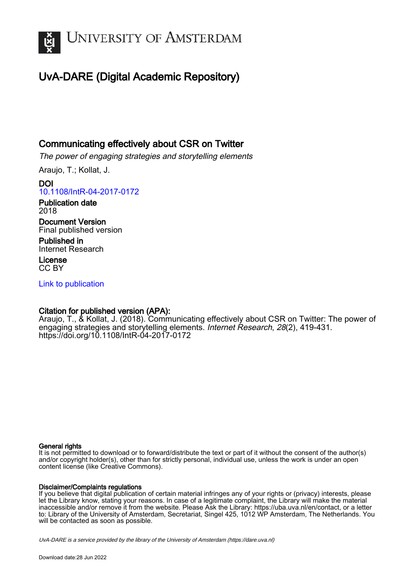

## UvA-DARE (Digital Academic Repository)

## Communicating effectively about CSR on Twitter

The power of engaging strategies and storytelling elements

Araujo, T.; Kollat, J.

DOI [10.1108/IntR-04-2017-0172](https://doi.org/10.1108/IntR-04-2017-0172)

Publication date 2018

Document Version Final published version

Published in Internet Research

License CC BY

[Link to publication](https://dare.uva.nl/personal/pure/en/publications/communicating-effectively-about-csr-on-twitter(3311eaa5-d250-45b2-b3fe-c33643d1d78e).html)

## Citation for published version (APA):

Araujo, T., & Kollat, J. (2018). Communicating effectively about CSR on Twitter: The power of engaging strategies and storytelling elements. Internet Research, 28(2), 419-431. <https://doi.org/10.1108/IntR-04-2017-0172>

## General rights

It is not permitted to download or to forward/distribute the text or part of it without the consent of the author(s) and/or copyright holder(s), other than for strictly personal, individual use, unless the work is under an open content license (like Creative Commons).

## Disclaimer/Complaints regulations

If you believe that digital publication of certain material infringes any of your rights or (privacy) interests, please let the Library know, stating your reasons. In case of a legitimate complaint, the Library will make the material inaccessible and/or remove it from the website. Please Ask the Library: https://uba.uva.nl/en/contact, or a letter to: Library of the University of Amsterdam, Secretariat, Singel 425, 1012 WP Amsterdam, The Netherlands. You will be contacted as soon as possible.

UvA-DARE is a service provided by the library of the University of Amsterdam (http*s*://dare.uva.nl)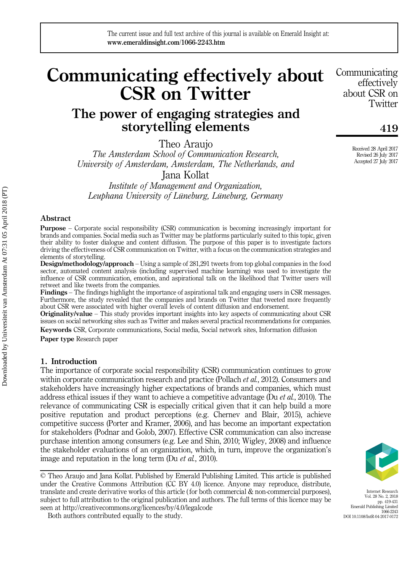# Communicating effectively about CSR on Twitter

## The power of engaging strategies and storytelling elements

Theo Araujo

The Amsterdam School of Communication Research, University of Amsterdam, Amsterdam, The Netherlands, and

Jana Kollat

Institute of Management and Organization, Leuphana University of Lüneburg, Lüneburg, Germany

#### Abstract

Purpose – Corporate social responsibility (CSR) communication is becoming increasingly important for brands and companies. Social media such as Twitter may be platforms particularly suited to this topic, given their ability to foster dialogue and content diffusion. The purpose of this paper is to investigate factors driving the effectiveness of CSR communication on Twitter, with a focus on the communication strategies and elements of storytelling.

Design/methodology/approach – Using a sample of 281,291 tweets from top global companies in the food sector, automated content analysis (including supervised machine learning) was used to investigate the influence of CSR communication, emotion, and aspirational talk on the likelihood that Twitter users will retweet and like tweets from the companies.

Findings – The findings highlight the importance of aspirational talk and engaging users in CSR messages. Furthermore, the study revealed that the companies and brands on Twitter that tweeted more frequently about CSR were associated with higher overall levels of content diffusion and endorsement.

Originality/value – This study provides important insights into key aspects of communicating about CSR issues on social networking sites such as Twitter and makes several practical recommendations for companies.

Keywords CSR, Corporate communications, Social media, Social network sites, Information diffusion Paper type Research paper

#### 1. Introduction

The importance of corporate social responsibility (CSR) communication continues to grow within corporate communication research and practice (Pollach *et al.*, 2012). Consumers and stakeholders have increasingly higher expectations of brands and companies, which must address ethical issues if they want to achieve a competitive advantage (Du *et al.*, 2010). The relevance of communicating CSR is especially critical given that it can help build a more positive reputation and product perceptions (e.g. Chernev and Blair, 2015), achieve competitive success (Porter and Kramer, 2006), and has become an important expectation for stakeholders (Podnar and Golob, 2007). Effective CSR communication can also increase purchase intention among consumers (e.g. Lee and Shin, 2010; Wigley, 2008) and influence the stakeholder evaluations of an organization, which, in turn, improve the organization's image and reputation in the long term (Du *et al.*, 2010).

© Theo Araujo and Jana Kollat. Published by Emerald Publishing Limited. This article is published under the Creative Commons Attribution (CC BY 4.0) licence. Anyone may reproduce, distribute, translate and create derivative works of this article (for both commercial & non-commercial purposes), subject to full attribution to the original publication and authors. The full terms of this licence may be seen at<http://creativecommons.org/licences/by/4.0/legalcode>

Both authors contributed equally to the study.

Communicating effectively about CSR on **Twitter** 

419

Received 28 April 2017 Revised 26 July 2017 Accepted 27 July 2017

Internet Research Vol. 28 No. 2, 2018 pp. 419-431 Emerald Publishing Limited 1066-2243 DOI 10.1108/IntR-04-2017-0172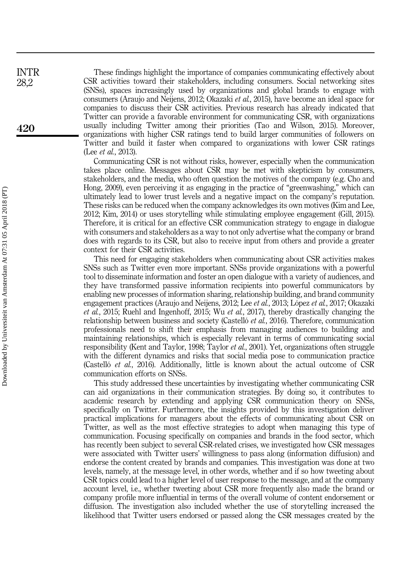These findings highlight the importance of companies communicating effectively about CSR activities toward their stakeholders, including consumers. Social networking sites (SNSs), spaces increasingly used by organizations and global brands to engage with consumers (Araujo and Neijens, 2012; Okazaki et al., 2015), have become an ideal space for companies to discuss their CSR activities. Previous research has already indicated that Twitter can provide a favorable environment for communicating CSR, with organizations usually including Twitter among their priorities (Tao and Wilson, 2015). Moreover, organizations with higher CSR ratings tend to build larger communities of followers on Twitter and build it faster when compared to organizations with lower CSR ratings (Lee *et al.*, 2013).

Communicating CSR is not without risks, however, especially when the communication takes place online. Messages about CSR may be met with skepticism by consumers, stakeholders, and the media, who often question the motives of the company (e.g. Cho and Hong, 2009), even perceiving it as engaging in the practice of "greenwashing," which can ultimately lead to lower trust levels and a negative impact on the company's reputation. These risks can be reduced when the company acknowledges its own motives (Kim and Lee, 2012; Kim, 2014) or uses storytelling while stimulating employee engagement (Gill, 2015). Therefore, it is critical for an effective CSR communication strategy to engage in dialogue with consumers and stakeholders as a way to not only advertise what the company or brand does with regards to its CSR, but also to receive input from others and provide a greater context for their CSR activities.

This need for engaging stakeholders when communicating about CSR activities makes SNSs such as Twitter even more important. SNSs provide organizations with a powerful tool to disseminate information and foster an open dialogue with a variety of audiences, and they have transformed passive information recipients into powerful communicators by enabling new processes of information sharing, relationship building, and brand community engagement practices (Araujo and Neijens, 2012; Lee et al., 2013; López et al., 2017; Okazaki et al., 2015; Ruehl and Ingenhoff, 2015; Wu et al., 2017), thereby drastically changing the relationship between business and society (Castelló et al., 2016). Therefore, communication professionals need to shift their emphasis from managing audiences to building and maintaining relationships, which is especially relevant in terms of communicating social responsibility (Kent and Taylor, 1998; Taylor et al., 2001). Yet, organizations often struggle with the different dynamics and risks that social media pose to communication practice (Castelló et al., 2016). Additionally, little is known about the actual outcome of CSR communication efforts on SNSs.

This study addressed these uncertainties by investigating whether communicating CSR can aid organizations in their communication strategies. By doing so, it contributes to academic research by extending and applying CSR communication theory on SNSs, specifically on Twitter. Furthermore, the insights provided by this investigation deliver practical implications for managers about the effects of communicating about CSR on Twitter, as well as the most effective strategies to adopt when managing this type of communication. Focusing specifically on companies and brands in the food sector, which has recently been subject to several CSR-related crises, we investigated how CSR messages were associated with Twitter users' willingness to pass along (information diffusion) and endorse the content created by brands and companies. This investigation was done at two levels, namely, at the message level, in other words, whether and if so how tweeting about CSR topics could lead to a higher level of user response to the message, and at the company account level, i.e., whether tweeting about CSR more frequently also made the brand or company profile more influential in terms of the overall volume of content endorsement or diffusion. The investigation also included whether the use of storytelling increased the likelihood that Twitter users endorsed or passed along the CSR messages created by the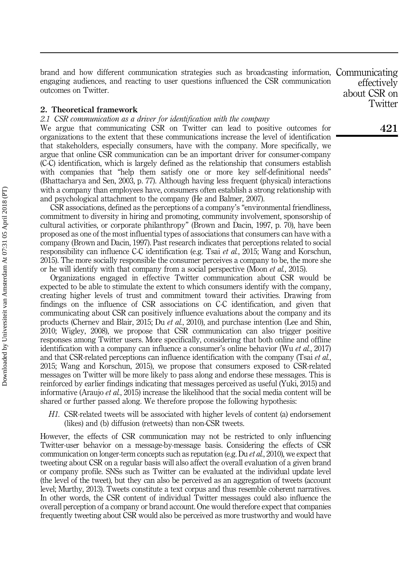brand and how different communication strategies such as broadcasting information, Communicating engaging audiences, and reacting to user questions influenced the CSR communication outcomes on Twitter.

2. Theoretical framework

2.1 CSR communication as a driver for identification with the company

We argue that communicating CSR on Twitter can lead to positive outcomes for organizations to the extent that these communications increase the level of identification that stakeholders, especially consumers, have with the company. More specifically, we argue that online CSR communication can be an important driver for consumer-company (C-C) identification, which is largely defined as the relationship that consumers establish with companies that "help them satisfy one or more key self-definitional needs" (Bhattacharya and Sen, 2003, p. 77). Although having less frequent (physical) interactions with a company than employees have, consumers often establish a strong relationship with and psychological attachment to the company (He and Balmer, 2007).

CSR associations, defined as the perceptions of a company's "environmental friendliness, commitment to diversity in hiring and promoting, community involvement, sponsorship of cultural activities, or corporate philanthropy" (Brown and Dacin, 1997, p. 70), have been proposed as one of the most influential types of associations that consumers can have with a company (Brown and Dacin, 1997). Past research indicates that perceptions related to social responsibility can influence C-C identification (e.g. Tsai *et al.*, 2015; Wang and Korschun, 2015). The more socially responsible the consumer perceives a company to be, the more she or he will identify with that company from a social perspective (Moon et al., 2015).

Organizations engaged in effective Twitter communication about CSR would be expected to be able to stimulate the extent to which consumers identify with the company, creating higher levels of trust and commitment toward their activities. Drawing from findings on the influence of CSR associations on C-C identification, and given that communicating about CSR can positively influence evaluations about the company and its products (Chernev and Blair, 2015; Du et al., 2010), and purchase intention (Lee and Shin, 2010; Wigley, 2008), we propose that CSR communication can also trigger positive responses among Twitter users. More specifically, considering that both online and offline identification with a company can influence a consumer's online behavior (Wu et al., 2017) and that CSR-related perceptions can influence identification with the company (Tsai et al., 2015; Wang and Korschun, 2015), we propose that consumers exposed to CSR-related messages on Twitter will be more likely to pass along and endorse these messages. This is reinforced by earlier findings indicating that messages perceived as useful (Yuki, 2015) and informative (Araujo et al., 2015) increase the likelihood that the social media content will be shared or further passed along. We therefore propose the following hypothesis:

H1. CSR-related tweets will be associated with higher levels of content (a) endorsement (likes) and (b) diffusion (retweets) than non-CSR tweets.

However, the effects of CSR communication may not be restricted to only influencing Twitter-user behavior on a message-by-message basis. Considering the effects of CSR communication on longer-term concepts such as reputation (e.g. Du *et al.*, 2010), we expect that tweeting about CSR on a regular basis will also affect the overall evaluation of a given brand or company profile. SNSs such as Twitter can be evaluated at the individual update level (the level of the tweet), but they can also be perceived as an aggregation of tweets (account level; Murthy, 2013). Tweets constitute a text corpus and thus resemble coherent narratives. In other words, the CSR content of individual Twitter messages could also influence the overall perception of a company or brand account. One would therefore expect that companies frequently tweeting about CSR would also be perceived as more trustworthy and would have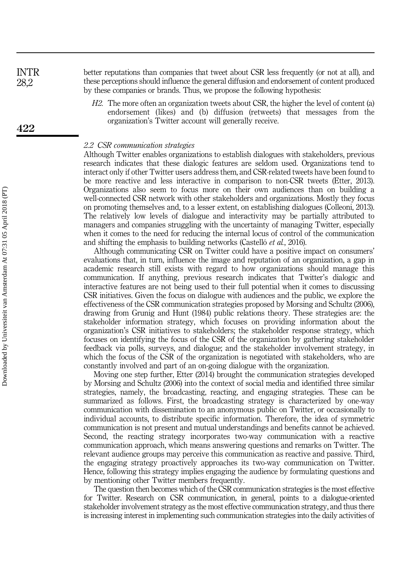better reputations than companies that tweet about CSR less frequently (or not at all), and these perceptions should influence the general diffusion and endorsement of content produced by these companies or brands. Thus, we propose the following hypothesis: INTR 28,2

> H2. The more often an organization tweets about CSR, the higher the level of content (a) endorsement (likes) and (b) diffusion (retweets) that messages from the organization's Twitter account will generally receive.

#### 2.2 CSR communication strategies

Although Twitter enables organizations to establish dialogues with stakeholders, previous research indicates that these dialogic features are seldom used. Organizations tend to interact only if other Twitter users address them, and CSR-related tweets have been found to be more reactive and less interactive in comparison to non-CSR tweets (Etter, 2013). Organizations also seem to focus more on their own audiences than on building a well-connected CSR network with other stakeholders and organizations. Mostly they focus on promoting themselves and, to a lesser extent, on establishing dialogues (Colleoni, 2013). The relatively low levels of dialogue and interactivity may be partially attributed to managers and companies struggling with the uncertainty of managing Twitter, especially when it comes to the need for reducing the internal locus of control of the communication and shifting the emphasis to building networks (Castelló et al., 2016).

Although communicating CSR on Twitter could have a positive impact on consumers' evaluations that, in turn, influence the image and reputation of an organization, a gap in academic research still exists with regard to how organizations should manage this communication. If anything, previous research indicates that Twitter's dialogic and interactive features are not being used to their full potential when it comes to discussing CSR initiatives. Given the focus on dialogue with audiences and the public, we explore the effectiveness of the CSR communication strategies proposed by Morsing and Schultz (2006), drawing from Grunig and Hunt (1984) public relations theory. These strategies are: the stakeholder information strategy, which focuses on providing information about the organization's CSR initiatives to stakeholders; the stakeholder response strategy, which focuses on identifying the focus of the CSR of the organization by gathering stakeholder feedback via polls, surveys, and dialogue; and the stakeholder involvement strategy, in which the focus of the CSR of the organization is negotiated with stakeholders, who are constantly involved and part of an on-going dialogue with the organization.

Moving one step further, Etter (2014) brought the communication strategies developed by Morsing and Schultz (2006) into the context of social media and identified three similar strategies, namely, the broadcasting, reacting, and engaging strategies. These can be summarized as follows. First, the broadcasting strategy is characterized by one-way communication with dissemination to an anonymous public on Twitter, or occasionally to individual accounts, to distribute specific information. Therefore, the idea of symmetric communication is not present and mutual understandings and benefits cannot be achieved. Second, the reacting strategy incorporates two-way communication with a reactive communication approach, which means answering questions and remarks on Twitter. The relevant audience groups may perceive this communication as reactive and passive. Third, the engaging strategy proactively approaches its two-way communication on Twitter. Hence, following this strategy implies engaging the audience by formulating questions and by mentioning other Twitter members frequently.

The question then becomes which of the CSR communication strategies is the most effective for Twitter. Research on CSR communication, in general, points to a dialogue-oriented stakeholder involvement strategy as the most effective communication strategy, and thus there is increasing interest in implementing such communication strategies into the daily activities of

422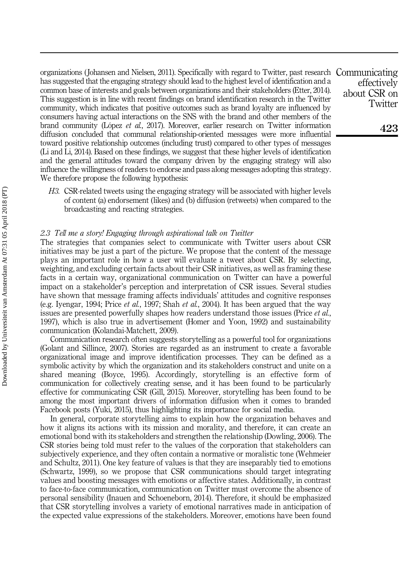organizations ( Johansen and Nielsen, 2011). Specifically with regard to Twitter, past research Communicating has suggested that the engaging strategy should lead to the highest level of identification and a common base of interests and goals between organizations and their stakeholders (Etter, 2014). This suggestion is in line with recent findings on brand identification research in the Twitter community, which indicates that positive outcomes such as brand loyalty are influenced by consumers having actual interactions on the SNS with the brand and other members of the brand community (López et al., 2017). Moreover, earlier research on Twitter information diffusion concluded that communal relationship-oriented messages were more influential toward positive relationship outcomes (including trust) compared to other types of messages (Li and Li, 2014). Based on these findings, we suggest that these higher levels of identification and the general attitudes toward the company driven by the engaging strategy will also influence the willingness of readers to endorse and pass along messages adopting this strategy. We therefore propose the following hypothesis:

H3. CSR-related tweets using the engaging strategy will be associated with higher levels of content (a) endorsement (likes) and (b) diffusion (retweets) when compared to the broadcasting and reacting strategies.

#### 2.3 Tell me a story! Engaging through aspirational talk on Twitter

The strategies that companies select to communicate with Twitter users about CSR initiatives may be just a part of the picture. We propose that the content of the message plays an important role in how a user will evaluate a tweet about CSR. By selecting, weighting, and excluding certain facts about their CSR initiatives, as well as framing these facts in a certain way, organizational communication on Twitter can have a powerful impact on a stakeholder's perception and interpretation of CSR issues. Several studies have shown that message framing affects individuals' attitudes and cognitive responses (e.g. Iyengar, 1994; Price *et al.*, 1997; Shah *et al.*, 2004). It has been argued that the way issues are presented powerfully shapes how readers understand those issues (Price *et al.*, 1997), which is also true in advertisement (Homer and Yoon, 1992) and sustainability communication (Kolandai-Matchett, 2009).

Communication research often suggests storytelling as a powerful tool for organizations (Golant and Sillince, 2007). Stories are regarded as an instrument to create a favorable organizational image and improve identification processes. They can be defined as a symbolic activity by which the organization and its stakeholders construct and unite on a shared meaning (Boyce, 1995). Accordingly, storytelling is an effective form of communication for collectively creating sense, and it has been found to be particularly effective for communicating CSR (Gill, 2015). Moreover, storytelling has been found to be among the most important drivers of information diffusion when it comes to branded Facebook posts (Yuki, 2015), thus highlighting its importance for social media.

In general, corporate storytelling aims to explain how the organization behaves and how it aligns its actions with its mission and morality, and therefore, it can create an emotional bond with its stakeholders and strengthen the relationship (Dowling, 2006). The CSR stories being told must refer to the values of the corporation that stakeholders can subjectively experience, and they often contain a normative or moralistic tone (Wehmeier and Schultz, 2011). One key feature of values is that they are inseparably tied to emotions (Schwartz, 1999), so we propose that CSR communications should target integrating values and boosting messages with emotions or affective states. Additionally, in contrast to face-to-face communication, communication on Twitter must overcome the absence of personal sensibility (Inauen and Schoeneborn, 2014). Therefore, it should be emphasized that CSR storytelling involves a variety of emotional narratives made in anticipation of the expected value expressions of the stakeholders. Moreover, emotions have been found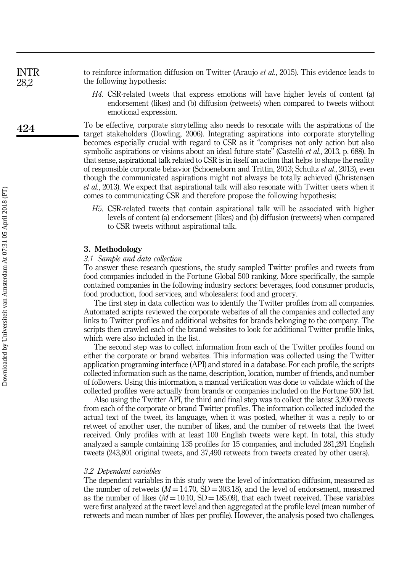to reinforce information diffusion on Twitter (Araujo *et al.*, 2015). This evidence leads to the following hypothesis: INTR 28,2

> H4. CSR-related tweets that express emotions will have higher levels of content (a) endorsement (likes) and (b) diffusion (retweets) when compared to tweets without emotional expression.

To be effective, corporate storytelling also needs to resonate with the aspirations of the target stakeholders (Dowling, 2006). Integrating aspirations into corporate storytelling becomes especially crucial with regard to CSR as it "comprises not only action but also symbolic aspirations or visions about an ideal future state" (Castelló *et al.*, 2013, p. 688). In that sense, aspirational talk related to CSR is in itself an action that helps to shape the reality of responsible corporate behavior (Schoeneborn and Trittin, 2013; Schultz et al., 2013), even though the communicated aspirations might not always be totally achieved (Christensen et al., 2013). We expect that aspirational talk will also resonate with Twitter users when it comes to communicating CSR and therefore propose the following hypothesis:

H5. CSR-related tweets that contain aspirational talk will be associated with higher levels of content (a) endorsement (likes) and (b) diffusion (retweets) when compared to CSR tweets without aspirational talk.

#### 3. Methodology

#### 3.1 Sample and data collection

To answer these research questions, the study sampled Twitter profiles and tweets from food companies included in the Fortune Global 500 ranking. More specifically, the sample contained companies in the following industry sectors: beverages, food consumer products, food production, food services, and wholesalers: food and grocery.

The first step in data collection was to identify the Twitter profiles from all companies. Automated scripts reviewed the corporate websites of all the companies and collected any links to Twitter profiles and additional websites for brands belonging to the company. The scripts then crawled each of the brand websites to look for additional Twitter profile links, which were also included in the list.

The second step was to collect information from each of the Twitter profiles found on either the corporate or brand websites. This information was collected using the Twitter application programing interface (API) and stored in a database. For each profile, the scripts collected information such as the name, description, location, number of friends, and number of followers. Using this information, a manual verification was done to validate which of the collected profiles were actually from brands or companies included on the Fortune 500 list.

Also using the Twitter API, the third and final step was to collect the latest 3,200 tweets from each of the corporate or brand Twitter profiles. The information collected included the actual text of the tweet, its language, when it was posted, whether it was a reply to or retweet of another user, the number of likes, and the number of retweets that the tweet received. Only profiles with at least 100 English tweets were kept. In total, this study analyzed a sample containing 135 profiles for 15 companies, and included 281,291 English tweets (243,801 original tweets, and 37,490 retweets from tweets created by other users).

#### 3.2 Dependent variables

The dependent variables in this study were the level of information diffusion, measured as the number of retweets  $(M = 14.70, SD = 303.18)$ , and the level of endorsement, measured as the number of likes  $(M = 10.10, SD = 185.09)$ , that each tweet received. These variables were first analyzed at the tweet level and then aggregated at the profile level (mean number of retweets and mean number of likes per profile). However, the analysis posed two challenges.

424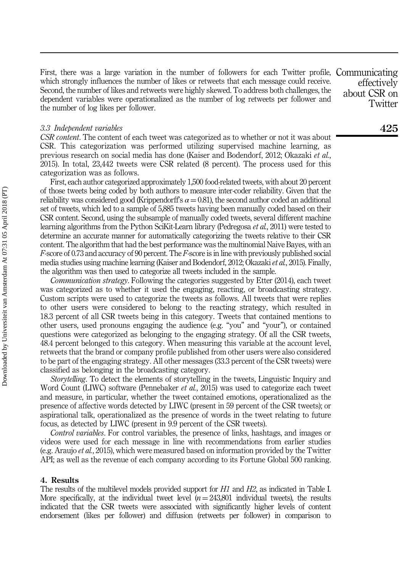First, there was a large variation in the number of followers for each Twitter profile, Communicating which strongly influences the number of likes or retweets that each message could receive. Second, the number of likes and retweets were highly skewed. To address both challenges, the dependent variables were operationalized as the number of log retweets per follower and the number of log likes per follower.

#### 3.3 Independent variables

CSR content. The content of each tweet was categorized as to whether or not it was about CSR. This categorization was performed utilizing supervised machine learning, as previous research on social media has done (Kaiser and Bodendorf, 2012; Okazaki et al., 2015). In total, 23,442 tweets were CSR related (8 percent). The process used for this categorization was as follows.

First, each author categorized approximately 1,500 food-related tweets, with about 20 percent of those tweets being coded by both authors to measure inter-coder reliability. Given that the reliability was considered good (Krippendorff's  $\alpha = 0.81$ ), the second author coded an additional set of tweets, which led to a sample of 5,885 tweets having been manually coded based on their CSR content. Second, using the subsample of manually coded tweets, several different machine learning algorithms from the Python SciKit-Learn library (Pedregosa et al., 2011) were tested to determine an accurate manner for automatically categorizing the tweets relative to their CSR content. The algorithm that had the best performance was the multinomial Naive Bayes, with an F-score of 0.73 and accuracy of 90 percent. The F-score is in line with previously published social media studies using machine learning (Kaiser and Bodendorf, 2012; Okazaki et al., 2015). Finally, the algorithm was then used to categorize all tweets included in the sample.

Communication strategy. Following the categories suggested by Etter (2014), each tweet was categorized as to whether it used the engaging, reacting, or broadcasting strategy. Custom scripts were used to categorize the tweets as follows. All tweets that were replies to other users were considered to belong to the reacting strategy, which resulted in 18.3 percent of all CSR tweets being in this category. Tweets that contained mentions to other users, used pronouns engaging the audience (e.g. "you" and "your"), or contained questions were categorized as belonging to the engaging strategy. Of all the CSR tweets, 48.4 percent belonged to this category. When measuring this variable at the account level, retweets that the brand or company profile published from other users were also considered to be part of the engaging strategy. All other messages (33.3 percent of the CSR tweets) were classified as belonging in the broadcasting category.

Storytelling. To detect the elements of storytelling in the tweets, Linguistic Inquiry and Word Count (LIWC) software (Pennebaker *et al.*, 2015) was used to categorize each tweet and measure, in particular, whether the tweet contained emotions, operationalized as the presence of affective words detected by LIWC (present in 59 percent of the CSR tweets); or aspirational talk, operationalized as the presence of words in the tweet relating to future focus, as detected by LIWC (present in 9.9 percent of the CSR tweets).

Control variables. For control variables, the presence of links, hashtags, and images or videos were used for each message in line with recommendations from earlier studies (e.g. Araujo et al., 2015), which were measured based on information provided by the Twitter API; as well as the revenue of each company according to its Fortune Global 500 ranking.

#### 4. Results

The results of the multilevel models provided support for H1 and H2, as indicated in Table I. More specifically, at the individual tweet level  $(n=243,801)$  individual tweets), the results indicated that the CSR tweets were associated with significantly higher levels of content endorsement (likes per follower) and diffusion (retweets per follower) in comparison to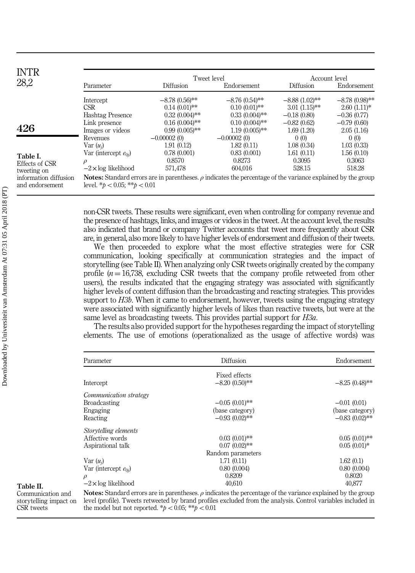| <b>INTR</b><br>28,2                       |                                                                                                                                                               | Tweet level      |                  | Account level    |                  |  |
|-------------------------------------------|---------------------------------------------------------------------------------------------------------------------------------------------------------------|------------------|------------------|------------------|------------------|--|
|                                           | Parameter                                                                                                                                                     | <b>Diffusion</b> | Endorsement      | Diffusion        | Endorsement      |  |
|                                           | Intercept                                                                                                                                                     | $-8.78(0.56)$ ** | $-8.76(0.54)$ ** | $-8.88(1.02)$ ** | $-8.78(0.98)$ ** |  |
|                                           | CSR                                                                                                                                                           | $0.14(0.01)$ **  | $0.10(0.01)$ **  | $3.01(1.15)$ **  | $2.60(1.11)*$    |  |
| 426                                       | <b>Hashtag Presence</b>                                                                                                                                       | $0.32(0.004)$ ** | $0.33(0.004)$ ** | $-0.18(0.80)$    | $-0.36(0.77)$    |  |
|                                           | Link presence                                                                                                                                                 | $0.16(0.004)$ ** | $0.10(0.004)$ ** | $-0.82(0.62)$    | $-0.79(0.60)$    |  |
|                                           | Images or videos                                                                                                                                              | $0.99(0.005)$ ** | $1.19(0.005)$ ** | 1.69(1.20)       | 2.05(1.16)       |  |
| Table I.<br>Effects of CSR<br>tweeting on | Revenues                                                                                                                                                      | $-0.00002(0)$    | $-0.00002(0)$    | 0(0)             | 0(0)             |  |
|                                           | $Var(u_i)$                                                                                                                                                    | 1.91(0.12)       | 1.82(0.11)       | 1.08(0.34)       | 1.03(0.33)       |  |
|                                           | Var (intercept $e_{0i}$ )                                                                                                                                     | 0.78(0.001)      | 0.83(0.001)      | 1.61(0.11)       | 1.56(0.10)       |  |
|                                           | $\rho$                                                                                                                                                        | 0.8570           | 0.8273           | 0.3095           | 0.3063           |  |
|                                           | $-2 \times \log$ likelihood                                                                                                                                   | 571,478          | 604,016          | 528.15           | 518.28           |  |
| information diffusion<br>and endorsement  | <b>Notes:</b> Standard errors are in parentheses. $\rho$ indicates the percentage of the variance explained by the group<br>level. $*_b$ < 0.05; $*_b$ < 0.01 |                  |                  |                  |                  |  |

non-CSR tweets. These results were significant, even when controlling for company revenue and the presence of hashtags, links, and images or videos in the tweet. At the account level, the results also indicated that brand or company Twitter accounts that tweet more frequently about CSR are, in general, also more likely to have higher levels of endorsement and diffusion of their tweets.

We then proceeded to explore what the most effective strategies were for CSR communication, looking specifically at communication strategies and the impact of storytelling (see Table II). When analyzing only CSR tweets originally created by the company profile  $(n = 16,738,$  excluding CSR tweets that the company profile retweeted from other users), the results indicated that the engaging strategy was associated with significantly higher levels of content diffusion than the broadcasting and reacting strategies. This provides support to *H3b*. When it came to endorsement, however, tweets using the engaging strategy were associated with significantly higher levels of likes than reactive tweets, but were at the same level as broadcasting tweets. This provides partial support for *H3a*.

The results also provided support for the hypotheses regarding the impact of storytelling elements. The use of emotions (operationalized as the usage of affective words) was

| Parameter                   | Diffusion                                                                                                                | Endorsement      |
|-----------------------------|--------------------------------------------------------------------------------------------------------------------------|------------------|
|                             | Fixed effects                                                                                                            |                  |
| Intercept                   | $-8.20(0.50)$ **                                                                                                         | $-8.25(0.48)$ ** |
| Communication strategy      |                                                                                                                          |                  |
| <b>Broadcasting</b>         | $-0.05(0.01)$ **                                                                                                         | $-0.01(0.01)$    |
| Engaging                    | (base category)                                                                                                          | (base category)  |
| Reacting                    | $-0.93(0.02)$ **                                                                                                         | $-0.83(0.02)$ ** |
| Storytelling elements       |                                                                                                                          |                  |
| Affective words             | $0.03(0.01)$ **                                                                                                          | $0.05(0.01)$ **  |
| Aspirational talk           | $0.07(0.02)$ **                                                                                                          | $0.05(0.01)*$    |
|                             | Random parameters                                                                                                        |                  |
| $Var(u_i)$                  | 1.71(0.11)                                                                                                               | 1.62(0.1)        |
| Var (intercept $e_{0i}$ )   | 0.80(0.004)                                                                                                              | 0.80(0.004)      |
| $\rho$                      | 0.8209                                                                                                                   | 0.8020           |
| $-2 \times \log$ likelihood | 40.610                                                                                                                   | 40,877           |
|                             | <b>Notes:</b> Standard errors are in parentheses. $\rho$ indicates the percentage of the variance explained by the group |                  |
|                             | level (profile). Tweets retweeted by brand profiles excluded from the analysis. Control variables included in            |                  |

Table II. Communication and storytelling impact on CSR tweets

the model but not reported.  $p < 0.05$ ;  $\ast p < 0.01$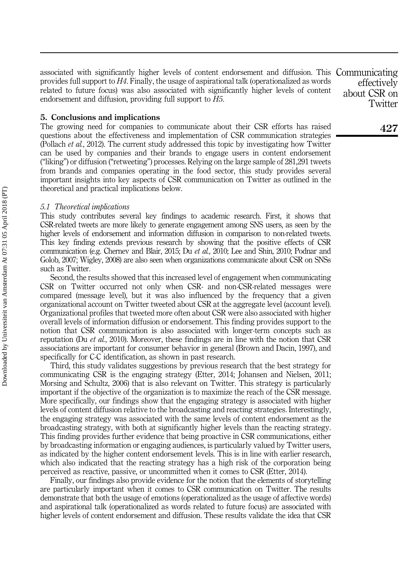associated with significantly higher levels of content endorsement and diffusion. This Communicating provides full support to H4. Finally, the usage of aspirational talk (operationalized as words related to future focus) was also associated with significantly higher levels of content endorsement and diffusion, providing full support to H5.

#### 5. Conclusions and implications

The growing need for companies to communicate about their CSR efforts has raised questions about the effectiveness and implementation of CSR communication strategies (Pollach et al., 2012). The current study addressed this topic by investigating how Twitter can be used by companies and their brands to engage users in content endorsement ("liking") or diffusion ("retweeting") processes. Relying on the large sample of 281,291 tweets from brands and companies operating in the food sector, this study provides several important insights into key aspects of CSR communication on Twitter as outlined in the theoretical and practical implications below.

#### 5.1 Theoretical implications

This study contributes several key findings to academic research. First, it shows that CSR-related tweets are more likely to generate engagement among SNS users, as seen by the higher levels of endorsement and information diffusion in comparison to non-related tweets. This key finding extends previous research by showing that the positive effects of CSR communication (e.g. Chernev and Blair, 2015; Du et al., 2010; Lee and Shin, 2010; Podnar and Golob, 2007; Wigley, 2008) are also seen when organizations communicate about CSR on SNSs such as Twitter.

Second, the results showed that this increased level of engagement when communicating CSR on Twitter occurred not only when CSR- and non-CSR-related messages were compared (message level), but it was also influenced by the frequency that a given organizational account on Twitter tweeted about CSR at the aggregate level (account level). Organizational profiles that tweeted more often about CSR were also associated with higher overall levels of information diffusion or endorsement. This finding provides support to the notion that CSR communication is also associated with longer-term concepts such as reputation (Du *et al.*, 2010). Moreover, these findings are in line with the notion that CSR associations are important for consumer behavior in general (Brown and Dacin, 1997), and specifically for C-C identification, as shown in past research.

Third, this study validates suggestions by previous research that the best strategy for communicating CSR is the engaging strategy (Etter, 2014; Johansen and Nielsen, 2011; Morsing and Schultz, 2006) that is also relevant on Twitter. This strategy is particularly important if the objective of the organization is to maximize the reach of the CSR message. More specifically, our findings show that the engaging strategy is associated with higher levels of content diffusion relative to the broadcasting and reacting strategies. Interestingly, the engaging strategy was associated with the same levels of content endorsement as the broadcasting strategy, with both at significantly higher levels than the reacting strategy. This finding provides further evidence that being proactive in CSR communications, either by broadcasting information or engaging audiences, is particularly valued by Twitter users, as indicated by the higher content endorsement levels. This is in line with earlier research, which also indicated that the reacting strategy has a high risk of the corporation being perceived as reactive, passive, or uncommitted when it comes to CSR (Etter, 2014).

Finally, our findings also provide evidence for the notion that the elements of storytelling are particularly important when it comes to CSR communication on Twitter. The results demonstrate that both the usage of emotions (operationalized as the usage of affective words) and aspirational talk (operationalized as words related to future focus) are associated with higher levels of content endorsement and diffusion. These results validate the idea that CSR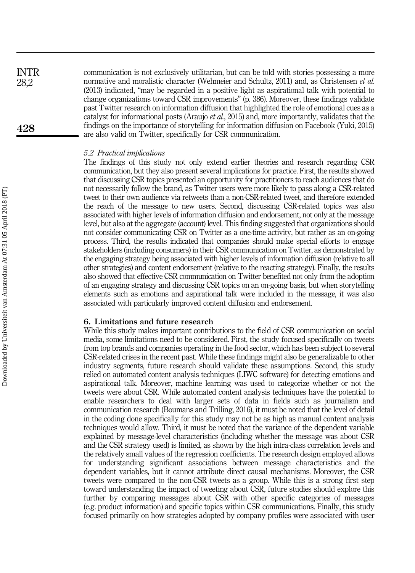communication is not exclusively utilitarian, but can be told with stories possessing a more normative and moralistic character (Wehmeier and Schultz, 2011) and, as Christensen *et al.* (2013) indicated, "may be regarded in a positive light as aspirational talk with potential to change organizations toward CSR improvements" (p. 386). Moreover, these findings validate past Twitter research on information diffusion that highlighted the role of emotional cues as a catalyst for informational posts (Araujo et al., 2015) and, more importantly, validates that the findings on the importance of storytelling for information diffusion on Facebook (Yuki, 2015) are also valid on Twitter, specifically for CSR communication. 428 INTR 28,2

#### 5.2 Practical implications

The findings of this study not only extend earlier theories and research regarding CSR communication, but they also present several implications for practice. First, the results showed that discussing CSR topics presented an opportunity for practitioners to reach audiences that do not necessarily follow the brand, as Twitter users were more likely to pass along a CSR-related tweet to their own audience via retweets than a non-CSR-related tweet, and therefore extended the reach of the message to new users. Second, discussing CSR-related topics was also associated with higher levels of information diffusion and endorsement, not only at the message level, but also at the aggregate (account) level. This finding suggested that organizations should not consider communicating CSR on Twitter as a one-time activity, but rather as an on-going process. Third, the results indicated that companies should make special efforts to engage stakeholders (including consumers) in their CSR communication on Twitter, as demonstrated by the engaging strategy being associated with higher levels of information diffusion (relative to all other strategies) and content endorsement (relative to the reacting strategy). Finally, the results also showed that effective CSR communication on Twitter benefited not only from the adoption of an engaging strategy and discussing CSR topics on an on-going basis, but when storytelling elements such as emotions and aspirational talk were included in the message, it was also associated with particularly improved content diffusion and endorsement.

#### 6. Limitations and future research

While this study makes important contributions to the field of CSR communication on social media, some limitations need to be considered. First, the study focused specifically on tweets from top brands and companies operating in the food sector, which has been subject to several CSR-related crises in the recent past. While these findings might also be generalizable to other industry segments, future research should validate these assumptions. Second, this study relied on automated content analysis techniques (LIWC software) for detecting emotions and aspirational talk. Moreover, machine learning was used to categorize whether or not the tweets were about CSR. While automated content analysis techniques have the potential to enable researchers to deal with larger sets of data in fields such as journalism and communication research (Boumans and Trilling, 2016), it must be noted that the level of detail in the coding done specifically for this study may not be as high as manual content analysis techniques would allow. Third, it must be noted that the variance of the dependent variable explained by message-level characteristics (including whether the message was about CSR and the CSR strategy used) is limited, as shown by the high intra-class correlation levels and the relatively small values of the regression coefficients. The research design employed allows for understanding significant associations between message characteristics and the dependent variables, but it cannot attribute direct causal mechanisms. Moreover, the CSR tweets were compared to the non-CSR tweets as a group. While this is a strong first step toward understanding the impact of tweeting about CSR, future studies should explore this further by comparing messages about CSR with other specific categories of messages (e.g. product information) and specific topics within CSR communications. Finally, this study focused primarily on how strategies adopted by company profiles were associated with user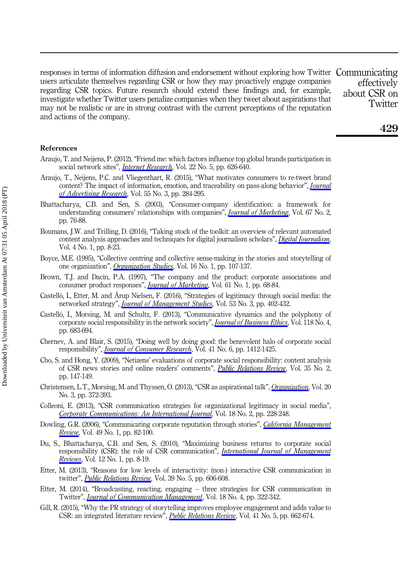responses in terms of information diffusion and endorsement without exploring how Twitter Communicating users articulate themselves regarding CSR or how they may proactively engage companies regarding CSR topics. Future research should extend these findings and, for example, investigate whether Twitter users penalize companies when they tweet about aspirations that may not be realistic or are in strong contrast with the current perceptions of the reputation and actions of the company.

effectively about CSR on **Twitter** 

#### References

- Araujo, T. and Neijens, P. (2012), "Friend me: which factors influence top global brands participation in social network sites", *[Internet Research](https://www.emeraldinsight.com/action/showLinks?doi=10.1108%2FIntR-04-2017-0172&system=10.1108%2F10662241211271581&isi=000312470700006&citationId=p_1)*, Vol. 22 No. 5, pp. 626-640.
- Araujo, T., Neijens, P.C. and Vliegenthart, R. (2015), "What motivates consumers to re-tweet brand content? The impact of information, emotion, and traceability on pass-along behavior", *[Journal](https://www.emeraldinsight.com/action/showLinks?doi=10.1108%2FIntR-04-2017-0172&crossref=10.2501%2FJAR-2015-009&isi=000361344200008&citationId=p_2)* [of Advertising Research](https://www.emeraldinsight.com/action/showLinks?doi=10.1108%2FIntR-04-2017-0172&crossref=10.2501%2FJAR-2015-009&isi=000361344200008&citationId=p_2), Vol. 55 No. 3, pp. 284-295.
- Bhattacharya, C.B. and Sen, S. (2003), "Consumer-company identification: a framework for understanding consumers' relationships with companies", *[Journal of Marketing](https://www.emeraldinsight.com/action/showLinks?doi=10.1108%2FIntR-04-2017-0172&crossref=10.1509%2Fjmkg.67.2.76.18609&isi=000182091900006&citationId=p_3)*, Vol. 67 No. 2, pp. 76-88.
- Boumans, J.W. and Trilling, D. (2016), "Taking stock of the toolkit: an overview of relevant automated content analysis approaches and techniques for digital journalism scholars", *[Digital Journalism](https://www.emeraldinsight.com/action/showLinks?doi=10.1108%2FIntR-04-2017-0172&crossref=10.1080%2F21670811.2015.1096598&isi=000387221400003&citationId=p_4)*, Vol. 4 No. 1, pp. 8-23.
- Boyce, M.E. (1995), "Collective centring and collective sense-making in the stories and storytelling of one organization", *[Organization Studies](https://www.emeraldinsight.com/action/showLinks?doi=10.1108%2FIntR-04-2017-0172&crossref=10.1177%2F017084069501600106&isi=A1995QQ86100006&citationId=p_5)*, Vol. 16 No. 1, pp. 107-137.
- Brown, T.J. and Dacin, P.A. (1997), "The company and the product: corporate associations and consumer product responses", *[Journal of Marketing](https://www.emeraldinsight.com/action/showLinks?doi=10.1108%2FIntR-04-2017-0172&crossref=10.2307%2F1252190&isi=A1997WD84900006&citationId=p_6)*, Vol. 61 No. 1, pp. 68-84.
- Castelló, I., Etter, M. and Årup Nielsen, F. (2016), "Strategies of legitimacy through social media: the networked strategy", *[Journal of Management Studies](https://www.emeraldinsight.com/action/showLinks?doi=10.1108%2FIntR-04-2017-0172&crossref=10.1111%2Fjoms.12145&isi=000374977900005&citationId=p_7)*, Vol. 53 No. 3, pp. 402-432.
- Castelló, I., Morsing, M. and Schultz, F. (2013), "Communicative dynamics and the polyphony of corporate social responsibility in the network society", *[Journal of Business Ethics](https://www.emeraldinsight.com/action/showLinks?doi=10.1108%2FIntR-04-2017-0172&crossref=10.1007%2Fs10551-013-1954-1&isi=000328069600001&citationId=p_8)*, Vol. 118 No. 4, pp. 683-694.
- Chernev, A. and Blair, S. (2015), "Doing well by doing good: the benevolent halo of corporate social responsibility", *[Journal of Consumer Research](https://www.emeraldinsight.com/action/showLinks?doi=10.1108%2FIntR-04-2017-0172&crossref=10.1086%2F680089&isi=000350807600006&citationId=p_9)*, Vol. 41 No. 6, pp. 1412-1425.
- Cho, S. and Hong, Y. (2009), "Netizens' evaluations of corporate social responsibility: content analysis of CSR news stories and online readers' comments", [Public Relations Review](https://www.emeraldinsight.com/action/showLinks?doi=10.1108%2FIntR-04-2017-0172&crossref=10.1016%2Fj.pubrev.2008.09.012&isi=000265282400013&citationId=p_10), Vol. 35 No. 2, pp. 147-149.
- Christensen, L.T., Morsing, M. and Thyssen, O. (2013), "CSR as aspirational talk", [Organization](https://www.emeraldinsight.com/action/showLinks?doi=10.1108%2FIntR-04-2017-0172&crossref=10.1177%2F1350508413478310&isi=000317620400003&citationId=p_11), Vol. 20 No. 3, pp. 372-393.
- Colleoni, E. (2013), "CSR communication strategies for organizational legitimacy in social media", [Corporate Communications: An International Journal](https://www.emeraldinsight.com/action/showLinks?doi=10.1108%2FIntR-04-2017-0172&system=10.1108%2F13563281311319508&citationId=p_12), Vol. 18 No. 2, pp. 228-248.
- Dowling, G.R. (2006), "Communicating corporate reputation through stories", *[California Management](https://www.emeraldinsight.com/action/showLinks?doi=10.1108%2FIntR-04-2017-0172&crossref=10.2307%2F41166372&isi=000242183500005&citationId=p_13)* [Review](https://www.emeraldinsight.com/action/showLinks?doi=10.1108%2FIntR-04-2017-0172&crossref=10.2307%2F41166372&isi=000242183500005&citationId=p_13), Vol. 49 No. 1, pp. 82-100.
- Du, S., Bhattacharya, C.B. and Sen, S. (2010), "Maximizing business returns to corporate social responsibility (CSR): the role of CSR communication", *[International Journal of Management](https://www.emeraldinsight.com/action/showLinks?doi=10.1108%2FIntR-04-2017-0172&crossref=10.1111%2Fj.1468-2370.2009.00276.x&isi=000273687300002&citationId=p_14) [Reviews](https://www.emeraldinsight.com/action/showLinks?doi=10.1108%2FIntR-04-2017-0172&crossref=10.1111%2Fj.1468-2370.2009.00276.x&isi=000273687300002&citationId=p_14)*, Vol. 12 No. 1, pp. 8-19.
- Etter, M. (2013), "Reasons for low levels of interactivity: (non-) interactive CSR communication in twitter", *[Public Relations Review](https://www.emeraldinsight.com/action/showLinks?doi=10.1108%2FIntR-04-2017-0172&crossref=10.1016%2Fj.pubrev.2013.06.003&isi=000328923500033&citationId=p_15)*, Vol. 39 No. 5, pp. 606-608.
- Etter, M. (2014), "Broadcasting, reacting, engaging three strategies for CSR communication in Twitter", *[Journal of Communication Management](https://www.emeraldinsight.com/action/showLinks?doi=10.1108%2FIntR-04-2017-0172&system=10.1108%2FJCOM-01-2013-0007&citationId=p_16)*, Vol. 18 No. 4, pp. 322-342.
- Gill, R. (2015), "Why the PR strategy of storytelling improves employee engagement and adds value to CSR: an integrated literature review", *[Public Relations Review](https://www.emeraldinsight.com/action/showLinks?doi=10.1108%2FIntR-04-2017-0172&crossref=10.1016%2Fj.pubrev.2014.02.012&isi=000367489900009&citationId=p_17)*, Vol. 41 No. 5, pp. 662-674.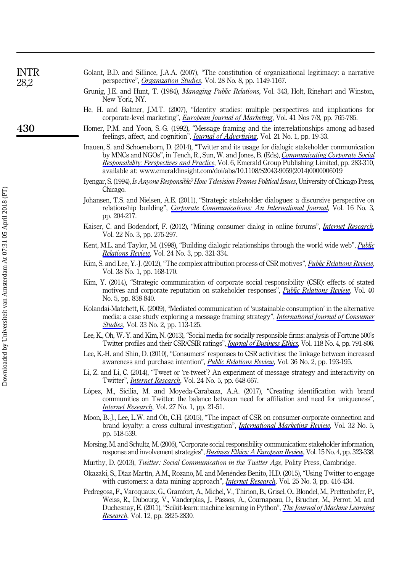| <b>INTR</b><br>28,2 | Golant, B.D. and Sillince, J.A.A. (2007), "The constitution of organizational legitimacy: a narrative<br>perspective", Organization Studies, Vol. 28 No. 8, pp. 1149-1167.                                                                                                                                                                                                                   |  |  |  |  |
|---------------------|----------------------------------------------------------------------------------------------------------------------------------------------------------------------------------------------------------------------------------------------------------------------------------------------------------------------------------------------------------------------------------------------|--|--|--|--|
|                     | Grunig, J.E. and Hunt, T. (1984), Managing Public Relations, Vol. 343, Holt, Rinehart and Winston,<br>New York, NY.                                                                                                                                                                                                                                                                          |  |  |  |  |
|                     | He, H. and Balmer, J.M.T. (2007), "Identity studies: multiple perspectives and implications for<br>corporate-level marketing", <i>European Journal of Marketing</i> , Vol. 41 Nos 7/8, pp. 765-785.                                                                                                                                                                                          |  |  |  |  |
| 430                 | Homer, P.M. and Yoon, S.-G. (1992), "Message framing and the interrelationships among ad-based<br>feelings, affect, and cognition", <i>Journal of Advertising</i> , Vol. 21 No. 1, pp. 19-33.                                                                                                                                                                                                |  |  |  |  |
|                     | Inauen, S. and Schoeneborn, D. (2014), "Twitter and its usage for dialogic stakeholder communication<br>by MNCs and NGOs", in Tench, R., Sun, W. and Jones, B. (Eds), Communicating Corporate Social<br>Responsibility: Perspectives and Practice, Vol. 6, Emerald Group Publishing Limited, pp. 283-310,<br>available at: www.emeraldinsight.com/doi/abs/10.1108/S2043-9059(2014)0000006019 |  |  |  |  |
|                     | Iyengar, S. (1994), Is Anyone Responsible? How Television Frames Political Issues, University of Chicago Press,<br>Chicago.                                                                                                                                                                                                                                                                  |  |  |  |  |
|                     | Johansen, T.S. and Nielsen, A.E. (2011), "Strategic stakeholder dialogues: a discursive perspective on<br>relationship building", Corporate Communications: An International Journal, Vol. 16 No. 3,<br>pp. 204-217.                                                                                                                                                                         |  |  |  |  |
|                     | Kaiser, C. and Bodendorf, F. (2012), "Mining consumer dialog in online forums", <i>Internet Research</i> ,<br>Vol. 22 No. 3, pp. 275-297.                                                                                                                                                                                                                                                    |  |  |  |  |
|                     | Kent, M.L. and Taylor, M. (1998), "Building dialogic relationships through the world wide web", <i>Public</i><br>Relations Review, Vol. 24 No. 3, pp. 321-334.                                                                                                                                                                                                                               |  |  |  |  |
|                     | Kim, S. and Lee, Y.-J. (2012), "The complex attribution process of CSR motives", <i>Public Relations Review</i> ,<br>Vol. 38 No. 1, pp. 168-170.                                                                                                                                                                                                                                             |  |  |  |  |
|                     | Kim, Y. (2014), "Strategic communication of corporate social responsibility (CSR): effects of stated<br>motives and corporate reputation on stakeholder responses", <i>Public Relations Review</i> , Vol. 40<br>No. 5, pp. 838-840.                                                                                                                                                          |  |  |  |  |
|                     | Kolandai-Matchett, K. (2009), "Mediated communication of 'sustainable consumption' in the alternative<br>media: a case study exploring a message framing strategy", <i>International Journal of Consumer</i><br><i>Studies</i> , Vol. 33 No. 2, pp. 113-125.                                                                                                                                 |  |  |  |  |
|                     | Lee, K., Oh, W.-Y. and Kim, N. (2013), "Social media for socially responsible firms: analysis of Fortune 500's<br>Twitter profiles and their CSR/CSIR ratings", <i>Journal of Business Ethics</i> , Vol. 118 No. 4, pp. 791-806.                                                                                                                                                             |  |  |  |  |
|                     | Lee, K.-H. and Shin, D. (2010), "Consumers' responses to CSR activities: the linkage between increased<br>awareness and purchase intention", <i>Public Relations Review</i> , Vol. 36 No. 2, pp. 193-195.                                                                                                                                                                                    |  |  |  |  |
|                     | Li, Z. and Li, C. (2014), "Tweet or 're-tweet'? An experiment of message strategy and interactivity on<br>Twitter", <i>Internet Research</i> , Vol. 24 No. 5, pp. 648-667.                                                                                                                                                                                                                   |  |  |  |  |
|                     | López, M., Sicilia, M. and Moyeda-Carabaza, A.A. (2017), "Creating identification with brand<br>communities on Twitter: the balance between need for affiliation and need for uniqueness",<br><i>Internet Research</i> , Vol. 27 No. 1, pp. 21-51.                                                                                                                                           |  |  |  |  |
|                     | Moon, B.-J., Lee, L.W. and Oh, C.H. (2015), "The impact of CSR on consumer-corporate connection and<br>brand loyalty: a cross cultural investigation", <i>International Marketing Review</i> , Vol. 32 No. 5,<br>pp. 518-539.                                                                                                                                                                |  |  |  |  |
|                     | Morsing, M. and Schultz, M. (2006), "Corporate social responsibility communication: stakeholder information,<br>response and involvement strategies", <i>Business Ethics: A European Review</i> , Vol. 15 No. 4, pp. 323-338.                                                                                                                                                                |  |  |  |  |
|                     | Murthy, D. (2013), Twitter: Social Communication in the Twitter Age, Polity Press, Cambridge.                                                                                                                                                                                                                                                                                                |  |  |  |  |
|                     | Okazaki S. Díaz Martín, A.M. Pozano, M. and Manóndaz Papito, H.D. (9015). "Haing Twitter to approxi-                                                                                                                                                                                                                                                                                         |  |  |  |  |

- Okazaki, S., Díaz-Martín, A.M., Rozano, M. and Menéndez-Benito, H.D. (2015), "Using Twitter to engage with customers: a data mining approach", *[Internet Research](https://www.emeraldinsight.com/action/showLinks?doi=10.1108%2FIntR-04-2017-0172&system=10.1108%2FIntR-11-2013-0249&isi=000357106300005&citationId=p_37)*, Vol. 25 No. 3, pp. 416-434.
- Pedregosa, F., Varoquaux, G., Gramfort, A., Michel, V., Thirion, B., Grisel, O., Blondel, M., Prettenhofer, P., Weiss, R., Dubourg, V., Vanderplas, J., Passos, A., Cournapeau, D., Brucher, M., Perrot, M. and Duchesnay, E. (2011), "Scikit-learn: machine learning in Python", *[The Journal of Machine Learning](https://www.emeraldinsight.com/action/showLinks?doi=10.1108%2FIntR-04-2017-0172&isi=000298103200003&citationId=p_38)* [Research](https://www.emeraldinsight.com/action/showLinks?doi=10.1108%2FIntR-04-2017-0172&isi=000298103200003&citationId=p_38), Vol. 12, pp. 2825-2830.